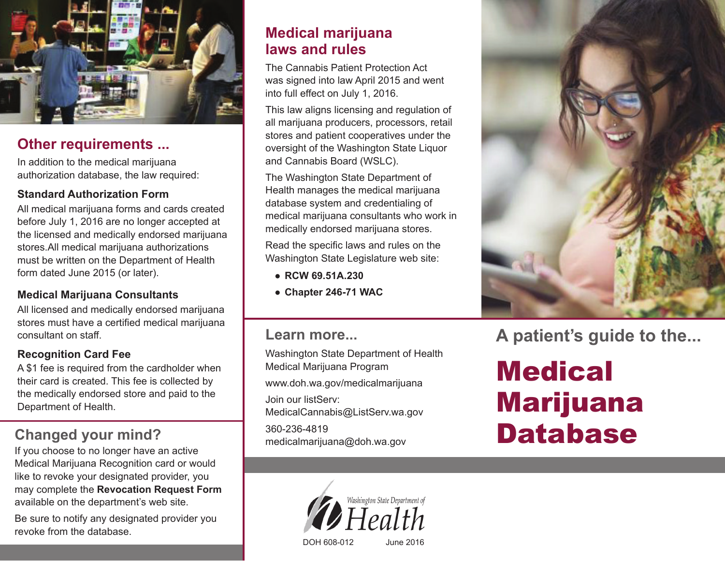

### **Other requirements ...**

In addition to the medical marijuana authorization database, the law required:

### **Standard Authorization Form**

All medical marijuana forms and cards created before July 1, 2016 are no longer accepted at the licensed and medically endorsed marijuana stores.All medical marijuana authorizations must be written on the Department of Health form dated June 2015 (or later).

### **Medical Marijuana Consultants**

All licensed and medically endorsed marijuana stores must have a certified medical marijuana consultant on staff.

### **Recognition Card Fee**

A \$1 fee is required from the cardholder when their card is created. This fee is collected by the medically endorsed store and paid to the Department of Health.

## **Changed your mind?**

If you choose to no longer have an active Medical Marijuana Recognition card or would like to revoke your designated provider, you may complete the **Revocation Request Form** available on the department's web site.

Be sure to notify any designated provider you revoke from the database.

### **Medical marijuana laws and rules**

The Cannabis Patient Protection Act was signed into law April 2015 and went into full effect on July 1, 2016.

This law aligns licensing and regulation of all marijuana producers, processors, retail stores and patient cooperatives under the oversight of the Washington State Liquor and Cannabis Board (WSLC).

The Washington State Department of Health manages the medical marijuana database system and credentialing of medical marijuana consultants who work in medically endorsed marijuana stores.

Read the specific laws and rules on the Washington State Legislature web site:

- **RCW 69.51A.230**
- **Chapter 246-71 WAC**

### **Learn more...**

Washington State Department of Health Medical Marijuana Program www.doh.wa.gov/medicalmarijuana Join our listServ: MedicalCannabis@ListServ.wa.gov 360-236-4819 medicalmarijuana@doh.wa.gov





**A patient's guide to the...**

## **Medical** Marijuana Database